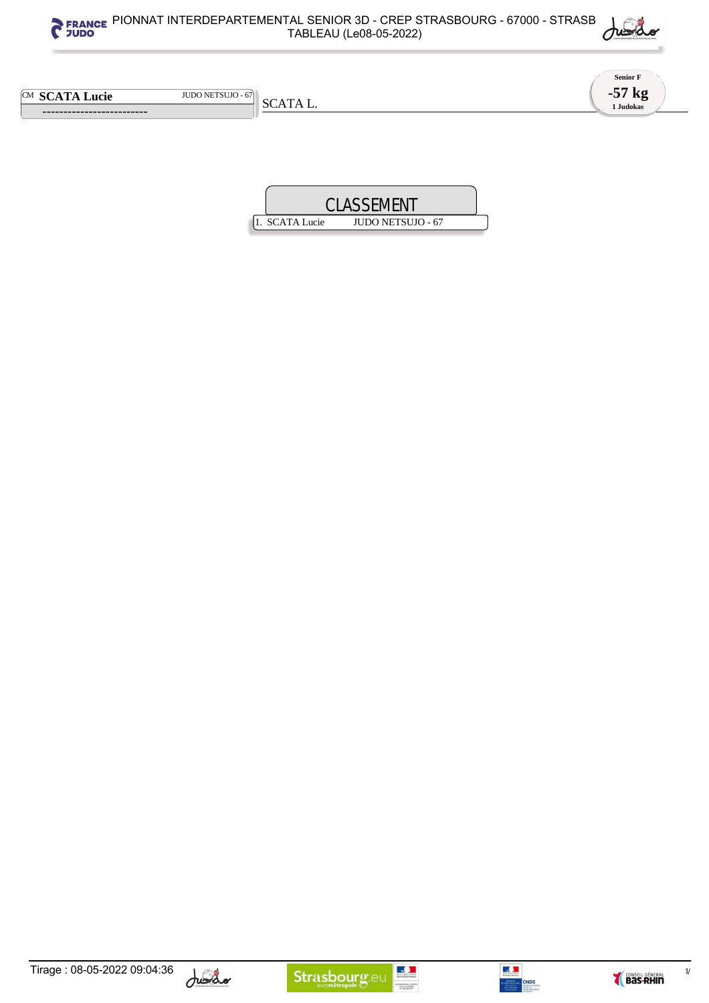



**Senior F -57 kg 1 Judokas**

CM **SCATA Lucie** JUDO NETSUJO - 67

 **-------------------------** 

SCATA L.











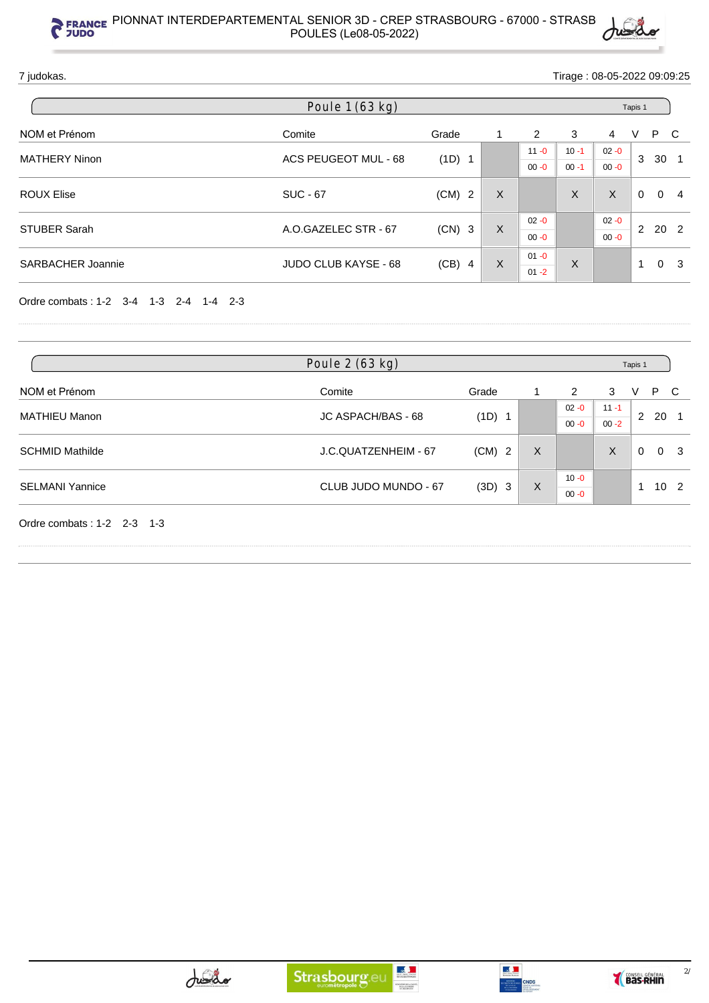

7 judokas. Tirage : 08-05-2022 09:09:25

|                          | Poule 1 (63 kg)      |          |          |          |          | Tapis 1  |               |          |                |
|--------------------------|----------------------|----------|----------|----------|----------|----------|---------------|----------|----------------|
| NOM et Prénom            | Comite               | Grade    |          | 2        | 3        | 4        | V             | P        | - C            |
| <b>MATHERY Ninon</b>     | ACS PEUGEOT MUL - 68 | $(1D)$ 1 |          | $11 - 0$ | $10 - 1$ | $02 - 0$ | 3             | 30       |                |
|                          |                      |          |          | $00 - 0$ | $00 - 1$ | $00 - 0$ |               |          |                |
| <b>ROUX Elise</b>        | <b>SUC - 67</b>      | $(CM)$ 2 | X        |          | X        | X        | $\Omega$      | $\Omega$ | $\overline{4}$ |
| <b>STUBER Sarah</b>      | A.O.GAZELEC STR - 67 | $(CN)$ 3 |          | $02 - 0$ |          | $02 - 0$ |               |          |                |
|                          |                      |          | $\sf X$  | $00 - 0$ |          | $00 - 0$ | $\mathcal{P}$ | 20 2     |                |
| <b>SARBACHER Joannie</b> | JUDO CLUB KAYSE - 68 | $(CB)$ 4 | $\times$ | $01 - 0$ | X        |          | -4            | $\Omega$ | - 3            |
|                          |                      |          |          | $01 - 2$ |          |          |               |          |                |

Ordre combats : 1-2 3-4 1-3 2-4 1-4 2-3

| Poule 2 (63 kg)              |                      |          |   |          |          |          | Tapis 1  |                 |  |  |  |
|------------------------------|----------------------|----------|---|----------|----------|----------|----------|-----------------|--|--|--|
| NOM et Prénom                | Comite               | Grade    |   | 2        | 3        | V        | P.       | - C             |  |  |  |
| <b>MATHIEU Manon</b>         | JC ASPACH/BAS - 68   | (1D) 1   |   | $02 - 0$ | $11 - 1$ | 2 20 1   |          |                 |  |  |  |
|                              |                      |          |   | $00 - 0$ | $00 - 2$ |          |          |                 |  |  |  |
| <b>SCHMID Mathilde</b>       | J.C.QUATZENHEIM - 67 | $(CM)$ 2 | X |          | X        | $\Omega$ | $\Omega$ | - 3             |  |  |  |
| <b>SELMANI Yannice</b>       | CLUB JUDO MUNDO - 67 |          | X | $10 - 0$ |          |          |          |                 |  |  |  |
|                              |                      | (3D) 3   |   | $00 - 0$ |          |          |          | 10 <sub>2</sub> |  |  |  |
| Ordre combats: $1-2$ 2-3 1-3 |                      |          |   |          |          |          |          |                 |  |  |  |





 $\frac{2}{\sqrt{2}}$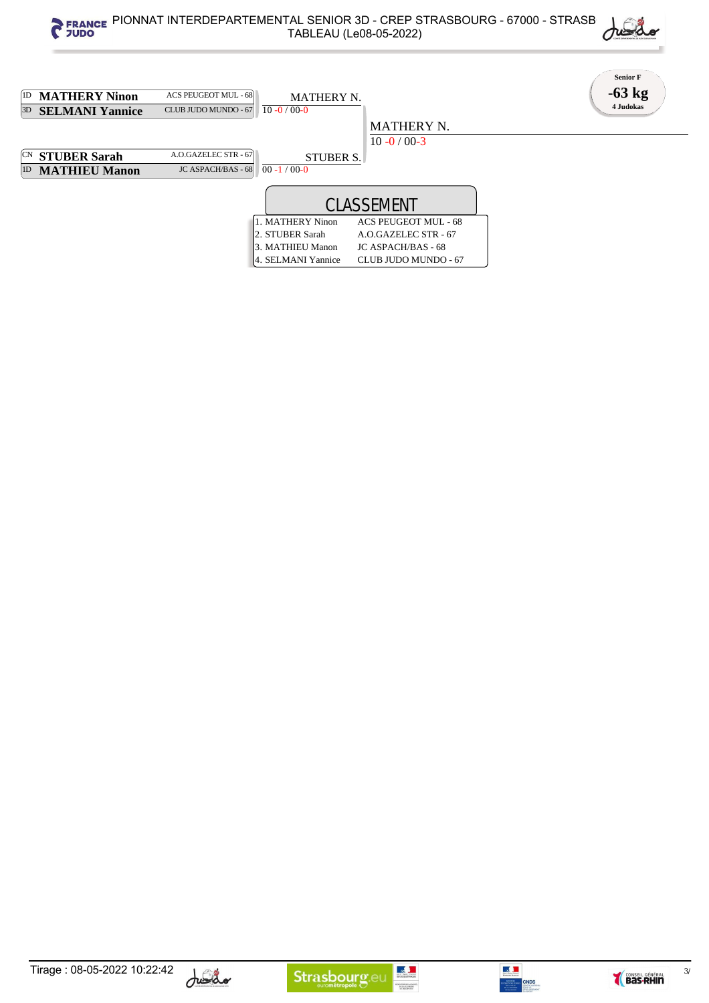









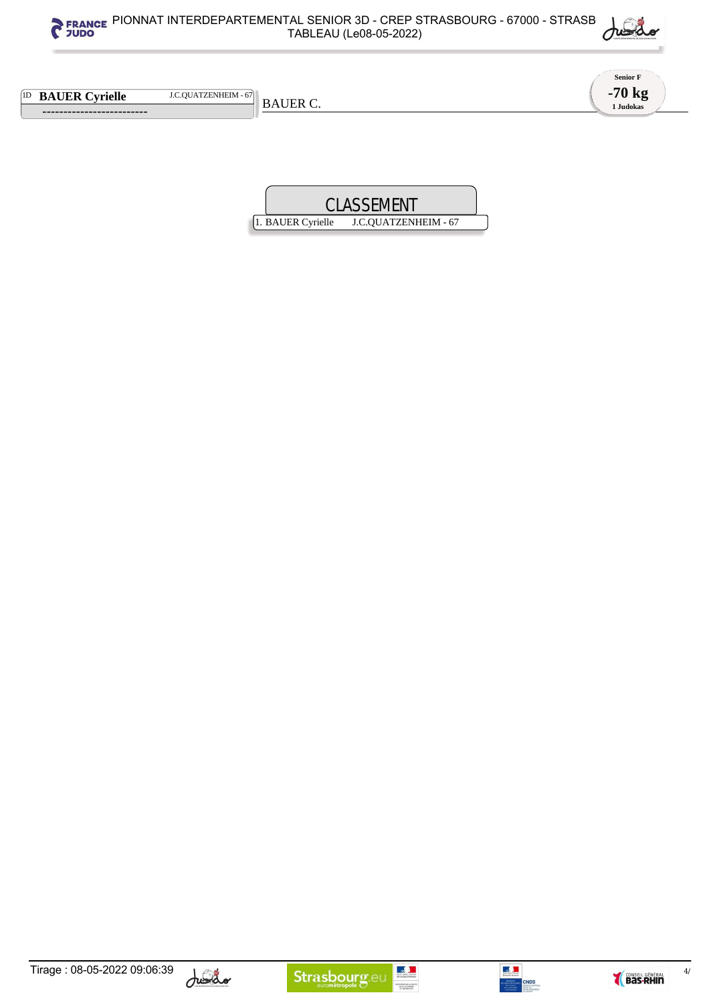



**Senior F -70 kg 1 Judokas**

1D **BAUER Cyrielle** J.C.QUATZENHEIM - 67

 **-------------------------** 

BAUER C.











 $4/$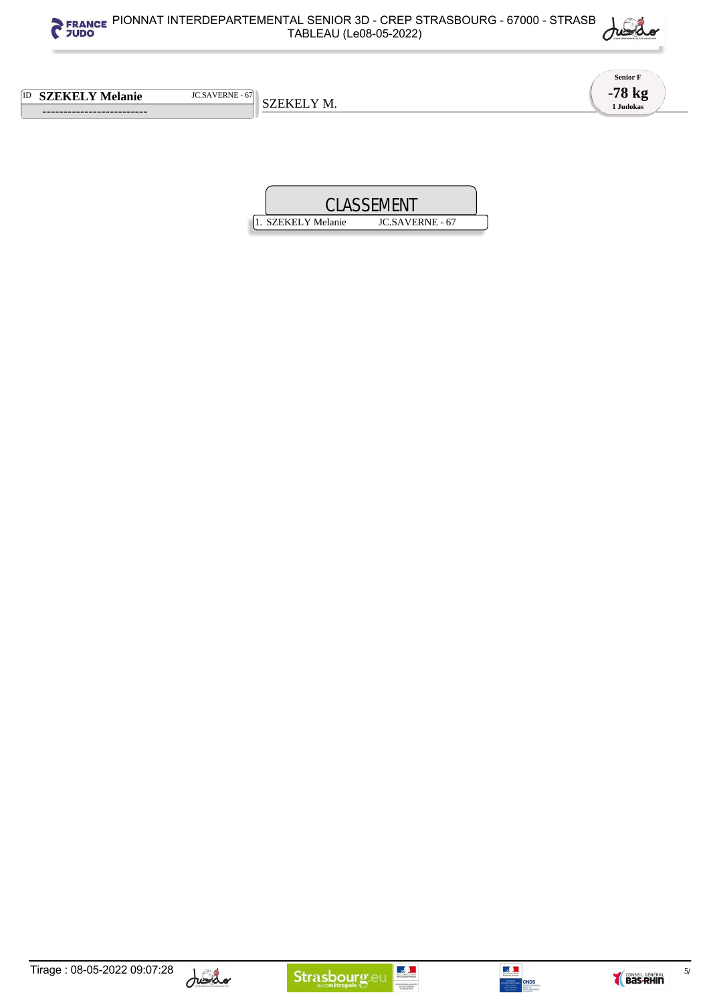



**Senior F -78 kg 1 Judokas**

1D **SZEKELY Melanie** JC.SAVERNE - 67

 **-------------------------** 

SZEKELY M.









 $5/$